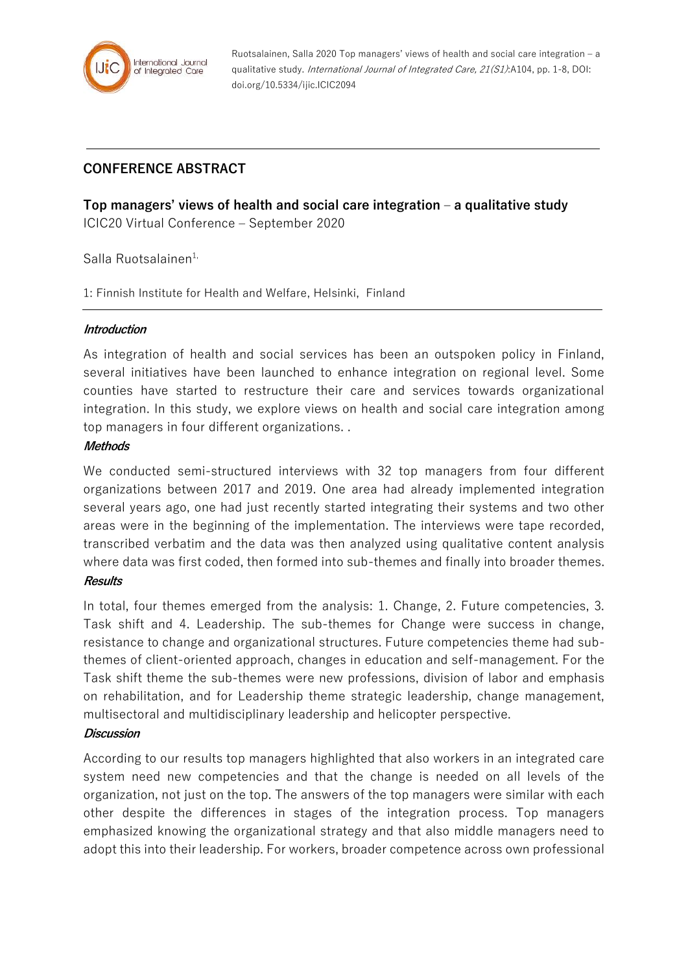

Ruotsalainen, Salla 2020 Top managers' views of health and social care integration – a qualitative study. International Journal of Integrated Care, 21(S1):A104, pp. 1-8, DOI: doi.org/10.5334/ijic.ICIC2094

# **CONFERENCE ABSTRACT**

**Top managers' views of health and social care integration – a qualitative study** ICIC20 Virtual Conference – September 2020

Salla Ruotsalainen<sup>1,</sup>

1: Finnish Institute for Health and Welfare, Helsinki, Finland

#### **Introduction**

As integration of health and social services has been an outspoken policy in Finland, several initiatives have been launched to enhance integration on regional level. Some counties have started to restructure their care and services towards organizational integration. In this study, we explore views on health and social care integration among top managers in four different organizations. .

#### **Methods**

We conducted semi-structured interviews with 32 top managers from four different organizations between 2017 and 2019. One area had already implemented integration several years ago, one had just recently started integrating their systems and two other areas were in the beginning of the implementation. The interviews were tape recorded, transcribed verbatim and the data was then analyzed using qualitative content analysis where data was first coded, then formed into sub-themes and finally into broader themes. **Results** 

In total, four themes emerged from the analysis: 1. Change, 2. Future competencies, 3. Task shift and 4. Leadership. The sub-themes for Change were success in change, resistance to change and organizational structures. Future competencies theme had subthemes of client-oriented approach, changes in education and self-management. For the Task shift theme the sub-themes were new professions, division of labor and emphasis on rehabilitation, and for Leadership theme strategic leadership, change management, multisectoral and multidisciplinary leadership and helicopter perspective.

#### **Discussion**

According to our results top managers highlighted that also workers in an integrated care system need new competencies and that the change is needed on all levels of the organization, not just on the top. The answers of the top managers were similar with each other despite the differences in stages of the integration process. Top managers emphasized knowing the organizational strategy and that also middle managers need to adopt this into their leadership. For workers, broader competence across own professional